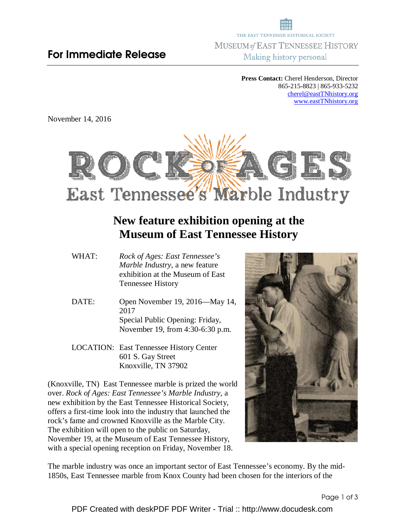## For Immediate Release

THE EAST TENNESSEE HISTORICAL SOCIETY MUSEUM of EAST TENNESSEE HISTORY Making history personal

> **Press Contact:** Cherel Henderson, Director 865-215-8823 | 865-933-5232 cherel@eastTNhistory.org www.eastTNhistory.org

November 14, 2016



## **New feature exhibition opening at the Museum of East Tennessee History**

- WHAT: *Rock of Ages: East Tennessee's Marble Industry*, a new feature exhibition at the Museum of East Tennessee History
- DATE: Open November 19, 2016—May 14, 2017 Special Public Opening: Friday, November 19, from 4:30-6:30 p.m.
- LOCATION: East Tennessee History Center 601 S. Gay Street Knoxville, TN 37902

(Knoxville, TN) East Tennessee marble is prized the world over. *Rock of Ages: East Tennessee's Marble Industry*, a new exhibition by the East Tennessee Historical Society, offers a first-time look into the industry that launched the rock's fame and crowned Knoxville as the Marble City. The exhibition will open to the public on Saturday, November 19, at the Museum of East Tennessee History, with a special opening reception on Friday, November 18.



The marble industry was once an important sector of East Tennessee's economy. By the mid-1850s, East Tennessee marble from Knox County had been chosen for the interiors of the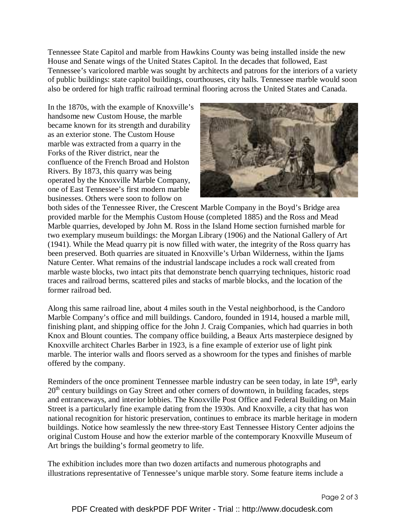Tennessee State Capitol and marble from Hawkins County was being installed inside the new House and Senate wings of the United States Capitol. In the decades that followed, East Tennessee's varicolored marble was sought by architects and patrons for the interiors of a variety of public buildings: state capitol buildings, courthouses, city halls. Tennessee marble would soon also be ordered for high traffic railroad terminal flooring across the United States and Canada.

In the 1870s, with the example of Knoxville's handsome new Custom House, the marble became known for its strength and durability as an exterior stone. The Custom House marble was extracted from a quarry in the Forks of the River district, near the confluence of the French Broad and Holston Rivers. By 1873, this quarry was being operated by the Knoxville Marble Company, one of East Tennessee's first modern marble businesses. Others were soon to follow on



both sides of the Tennessee River, the Crescent Marble Company in the Boyd's Bridge area provided marble for the Memphis Custom House (completed 1885) and the Ross and Mead Marble quarries, developed by John M. Ross in the Island Home section furnished marble for two exemplary museum buildings: the Morgan Library (1906) and the National Gallery of Art (1941). While the Mead quarry pit is now filled with water, the integrity of the Ross quarry has been preserved. Both quarries are situated in Knoxville's Urban Wilderness, within the Ijams Nature Center. What remains of the industrial landscape includes a rock wall created from marble waste blocks, two intact pits that demonstrate bench quarrying techniques, historic road traces and railroad berms, scattered piles and stacks of marble blocks, and the location of the former railroad bed.

Along this same railroad line, about 4 miles south in the Vestal neighborhood, is the Candoro Marble Company's office and mill buildings. Candoro, founded in 1914, housed a marble mill, finishing plant, and shipping office for the John J. Craig Companies, which had quarries in both Knox and Blount counties. The company office building, a Beaux Arts masterpiece designed by Knoxville architect Charles Barber in 1923, is a fine example of exterior use of light pink marble. The interior walls and floors served as a showroom for the types and finishes of marble offered by the company.

Reminders of the once prominent Tennessee marble industry can be seen today, in late  $19<sup>th</sup>$ , early 20<sup>th</sup> century buildings on Gay Street and other corners of downtown, in building facades, steps and entranceways, and interior lobbies. The Knoxville Post Office and Federal Building on Main Street is a particularly fine example dating from the 1930s. And Knoxville, a city that has won national recognition for historic preservation, continues to embrace its marble heritage in modern buildings. Notice how seamlessly the new three-story East Tennessee History Center adjoins the original Custom House and how the exterior marble of the contemporary Knoxville Museum of Art brings the building's formal geometry to life.

The exhibition includes more than two dozen artifacts and numerous photographs and illustrations representative of Tennessee's unique marble story. Some feature items include a